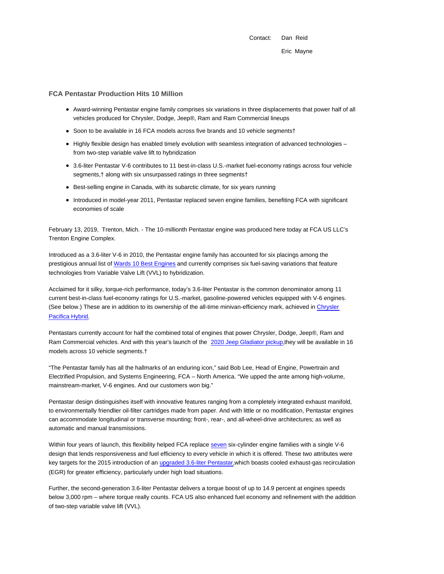Contact: Dan Reid Eric Mayne

#### **FCA Pentastar Production Hits 10 Million**

- Award-winning Pentastar engine family comprises six variations in three displacements that power half of all vehicles produced for Chrysler, Dodge, Jeep®, Ram and Ram Commercial lineups
- Soon to be available in 16 FCA models across five brands and 10 vehicle segments†
- Highly flexible design has enabled timely evolution with seamless integration of advanced technologies from two-step variable valve lift to hybridization
- 3.6-liter Pentastar V-6 contributes to 11 best-in-class U.S.-market fuel-economy ratings across four vehicle segments,† along with six unsurpassed ratings in three segments†
- Best-selling engine in Canada, with its subarctic climate, for six years running
- Introduced in model-year 2011, Pentastar replaced seven engine families, benefiting FCA with significant economies of scale

February 13, 2019, Trenton, Mich. - The 10-millionth Pentastar engine was produced here today at FCA US LLC's Trenton Engine Complex.

Introduced as a 3.6-liter V-6 in 2010, the Pentastar engine family has accounted for six placings among the prestigious annual list of Wards 10 Best Engines and currently comprises six fuel-saving variations that feature technologies from Variable Valve Lift (VVL) to hybridization.

Acclaimed for it silky, torque-rich performance, today's 3.6-liter Pentastar is the common denominator among 11 current best-in-class fuel-economy ratings for U.S.-market, gasoline-powered vehicles equipped with V-6 engines. (See below.) These are in addition to its ownership of the all-time minivan-efficiency mark, achieved in Chrysler Pacifica Hybrid.

Pentastars currently account for half the combined total of engines that power Chrysler, Dodge, Jeep®, Ram and Ram Commercial vehicles. And with this year's launch of the 2020 Jeep Gladiator pickup, they will be available in 16 models across 10 vehicle segments.†

"The Pentastar family has all the hallmarks of an enduring icon," said Bob Lee, Head of Engine, Powertrain and Electrified Propulsion, and Systems Engineering, FCA – North America. "We upped the ante among high-volume, mainstream-market, V-6 engines. And our customers won big."

Pentastar design distinguishes itself with innovative features ranging from a completely integrated exhaust manifold, to environmentally friendlier oil-filter cartridges made from paper. And with little or no modification, Pentastar engines can accommodate longitudinal or transverse mounting; front-, rear-, and all-wheel-drive architectures; as well as automatic and manual transmissions.

Within four years of launch, this flexibility helped FCA replace seven six-cylinder engine families with a single V-6 design that lends responsiveness and fuel efficiency to every vehicle in which it is offered. These two attributes were key targets for the 2015 introduction of an upgraded 3.6-liter Pentastar, which boasts cooled exhaust-gas recirculation (EGR) for greater efficiency, particularly under high load situations.

Further, the second-generation 3.6-liter Pentastar delivers a torque boost of up to 14.9 percent at engines speeds below 3,000 rpm – where torque really counts. FCA US also enhanced fuel economy and refinement with the addition of two-step variable valve lift (VVL).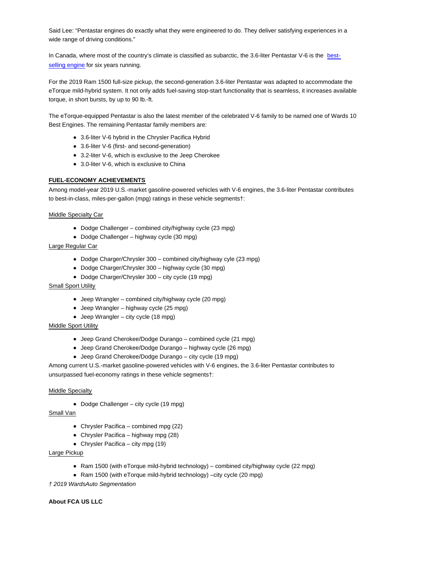Said Lee: "Pentastar engines do exactly what they were engineered to do. They deliver satisfying experiences in a wide range of driving conditions."

In Canada, where most of the country's climate is classified as subarctic, the 3.6-liter Pentastar V-6 is the bestselling engine for six years running.

For the 2019 Ram 1500 full-size pickup, the second-generation 3.6-liter Pentastar was adapted to accommodate the eTorque mild-hybrid system. It not only adds fuel-saving stop-start functionality that is seamless, it increases available torque, in short bursts, by up to 90 lb.-ft.

The eTorque-equipped Pentastar is also the latest member of the celebrated V-6 family to be named one of Wards 10 Best Engines. The remaining Pentastar family members are:

- 3.6-liter V-6 hybrid in the Chrysler Pacifica Hybrid
- 3.6-liter V-6 (first- and second-generation)
- 3.2-liter V-6, which is exclusive to the Jeep Cherokee
- 3.0-liter V-6, which is exclusive to China

### **FUEL-ECONOMY ACHIEVEMENTS**

Among model-year 2019 U.S.-market gasoline-powered vehicles with V-6 engines, the 3.6-liter Pentastar contributes to best-in-class, miles-per-gallon (mpg) ratings in these vehicle segments†:

Middle Specialty Car

- Dodge Challenger combined city/highway cycle (23 mpg)
- Dodge Challenger highway cycle (30 mpg)

### Large Regular Car

- Dodge Charger/Chrysler 300 combined city/highway cyle (23 mpg)
- Dodge Charger/Chrysler 300 highway cycle (30 mpg)
- Dodge Charger/Chrysler 300 city cycle (19 mpg)

# Small Sport Utility

- Jeep Wrangler combined city/highway cycle (20 mpg)
- Jeep Wrangler highway cycle (25 mpg)
- Jeep Wrangler city cycle (18 mpg)

# Middle Sport Utility

- Jeep Grand Cherokee/Dodge Durango combined cycle (21 mpg)
- Jeep Grand Cherokee/Dodge Durango highway cycle (26 mpg)
- Jeep Grand Cherokee/Dodge Durango city cycle (19 mpg)

Among current U.S.-market gasoline-powered vehicles with V-6 engines, the 3.6-liter Pentastar contributes to unsurpassed fuel-economy ratings in these vehicle segments†:

#### **Middle Specialty**

• Dodge Challenger – city cycle (19 mpg)

### Small Van

- Chrysler Pacifica combined mpg (22)
- Chrysler Pacifica highway mpg (28)
- Chrysler Pacifica city mpg (19)

## Large Pickup

- Ram 1500 (with eTorque mild-hybrid technology) combined city/highway cycle (22 mpg)
- Ram 1500 (with eTorque mild-hybrid technology) –city cycle (20 mpg)
- † 2019 WardsAuto Segmentation

# **About FCA US LLC**